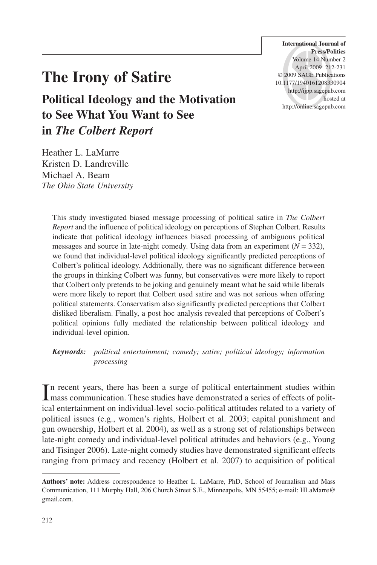**International Journal of Press/Politics** Volume 14 Number 2 April 2009 212-231 © 2009 SAGE Publications 10.1177/1940161208330904 http://ijpp.sagepub.com hosted at http://online.sagepub.com

# **The Irony of Satire**

**Political Ideology and the Motivation to See What You Want to See in** *The Colbert Report*

Heather L. LaMarre Kristen D. Landreville Michael A. Beam *The Ohio State University*

> This study investigated biased message processing of political satire in *The Colbert Report* and the influence of political ideology on perceptions of Stephen Colbert. Results indicate that political ideology influences biased processing of ambiguous political messages and source in late-night comedy. Using data from an experiment  $(N = 332)$ , we found that individual-level political ideology significantly predicted perceptions of Colbert's political ideology. Additionally, there was no significant difference between the groups in thinking Colbert was funny, but conservatives were more likely to report that Colbert only pretends to be joking and genuinely meant what he said while liberals were more likely to report that Colbert used satire and was not serious when offering political statements. Conservatism also significantly predicted perceptions that Colbert disliked liberalism. Finally, a post hoc analysis revealed that perceptions of Colbert's political opinions fully mediated the relationship between political ideology and individual-level opinion.

## *Keywords: political entertainment; comedy; satire; political ideology; information processing*

In recent years, there has been a surge of political entertainment studies within mass communication. These studies have demonstrated a series of effects of polit-**L** mass communication. These studies have demonstrated a series of effects of political entertainment on individual-level socio-political attitudes related to a variety of political issues (e.g., women's rights, Holbert et al. 2003; capital punishment and gun ownership, Holbert et al. 2004), as well as a strong set of relationships between late-night comedy and individual-level political attitudes and behaviors (e.g., Young and Tisinger 2006). Late-night comedy studies have demonstrated significant effects ranging from primacy and recency (Holbert et al. 2007) to acquisition of political

**Authors' note:** Address correspondence to Heather L. LaMarre, PhD, School of Journalism and Mass Communication, 111 Murphy Hall, 206 Church Street S.E., Minneapolis, MN 55455; e-mail: HLaMarre@ gmail.com.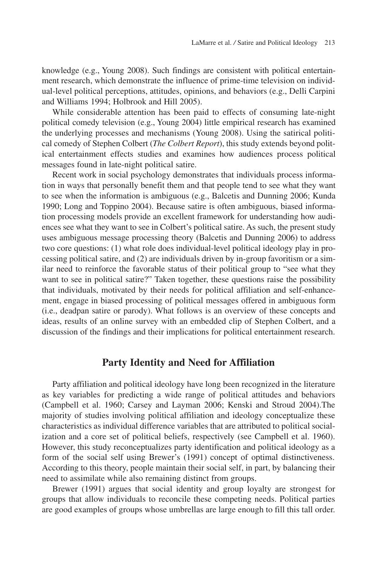knowledge (e.g., Young 2008). Such findings are consistent with political entertainment research, which demonstrate the influence of prime-time television on individual-level political perceptions, attitudes, opinions, and behaviors (e.g., Delli Carpini and Williams 1994; Holbrook and Hill 2005).

While considerable attention has been paid to effects of consuming late-night political comedy television (e.g., Young 2004) little empirical research has examined the underlying processes and mechanisms (Young 2008). Using the satirical political comedy of Stephen Colbert (*The Colbert Report*), this study extends beyond political entertainment effects studies and examines how audiences process political messages found in late-night political satire.

Recent work in social psychology demonstrates that individuals process information in ways that personally benefit them and that people tend to see what they want to see when the information is ambiguous (e.g., Balcetis and Dunning 2006; Kunda 1990; Long and Toppino 2004). Because satire is often ambiguous, biased information processing models provide an excellent framework for understanding how audiences see what they want to see in Colbert's political satire. As such, the present study uses ambiguous message processing theory (Balcetis and Dunning 2006) to address two core questions: (1) what role does individual-level political ideology play in processing political satire, and (2) are individuals driven by in-group favoritism or a similar need to reinforce the favorable status of their political group to "see what they want to see in political satire?" Taken together, these questions raise the possibility that individuals, motivated by their needs for political affiliation and self-enhancement, engage in biased processing of political messages offered in ambiguous form (i.e., deadpan satire or parody). What follows is an overview of these concepts and ideas, results of an online survey with an embedded clip of Stephen Colbert, and a discussion of the findings and their implications for political entertainment research.

## **Party Identity and Need for Affiliation**

Party affiliation and political ideology have long been recognized in the literature as key variables for predicting a wide range of political attitudes and behaviors (Campbell et al. 1960; Carsey and Layman 2006; Kenski and Stroud 2004).The majority of studies involving political affiliation and ideology conceptualize these characteristics as individual difference variables that are attributed to political socialization and a core set of political beliefs, respectively (see Campbell et al. 1960). However, this study reconceptualizes party identification and political ideology as a form of the social self using Brewer's (1991) concept of optimal distinctiveness. According to this theory, people maintain their social self, in part, by balancing their need to assimilate while also remaining distinct from groups.

Brewer (1991) argues that social identity and group loyalty are strongest for groups that allow individuals to reconcile these competing needs. Political parties are good examples of groups whose umbrellas are large enough to fill this tall order.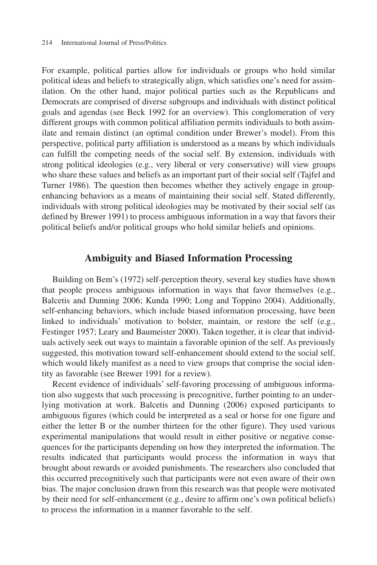For example, political parties allow for individuals or groups who hold similar political ideas and beliefs to strategically align, which satisfies one's need for assimilation. On the other hand, major political parties such as the Republicans and Democrats are comprised of diverse subgroups and individuals with distinct political goals and agendas (see Beck 1992 for an overview). This conglomeration of very different groups with common political affiliation permits individuals to both assimilate and remain distinct (an optimal condition under Brewer's model). From this perspective, political party affiliation is understood as a means by which individuals can fulfill the competing needs of the social self. By extension, individuals with strong political ideologies (e.g., very liberal or very conservative) will view groups who share these values and beliefs as an important part of their social self (Tajfel and Turner 1986). The question then becomes whether they actively engage in groupenhancing behaviors as a means of maintaining their social self. Stated differently, individuals with strong political ideologies may be motivated by their social self (as defined by Brewer 1991) to process ambiguous information in a way that favors their political beliefs and/or political groups who hold similar beliefs and opinions.

## **Ambiguity and Biased Information Processing**

Building on Bem's (1972) self-perception theory, several key studies have shown that people process ambiguous information in ways that favor themselves (e.g., Balcetis and Dunning 2006; Kunda 1990; Long and Toppino 2004). Additionally, self-enhancing behaviors, which include biased information processing, have been linked to individuals' motivation to bolster, maintain, or restore the self (e.g., Festinger 1957; Leary and Baumeister 2000). Taken together, it is clear that individuals actively seek out ways to maintain a favorable opinion of the self. As previously suggested, this motivation toward self-enhancement should extend to the social self, which would likely manifest as a need to view groups that comprise the social identity as favorable (see Brewer 1991 for a review).

Recent evidence of individuals' self-favoring processing of ambiguous information also suggests that such processing is precognitive, further pointing to an underlying motivation at work. Balcetis and Dunning (2006) exposed participants to ambiguous figures (which could be interpreted as a seal or horse for one figure and either the letter B or the number thirteen for the other figure). They used various experimental manipulations that would result in either positive or negative consequences for the participants depending on how they interpreted the information. The results indicated that participants would process the information in ways that brought about rewards or avoided punishments. The researchers also concluded that this occurred precognitively such that participants were not even aware of their own bias. The major conclusion drawn from this research was that people were motivated by their need for self-enhancement (e.g., desire to affirm one's own political beliefs) to process the information in a manner favorable to the self.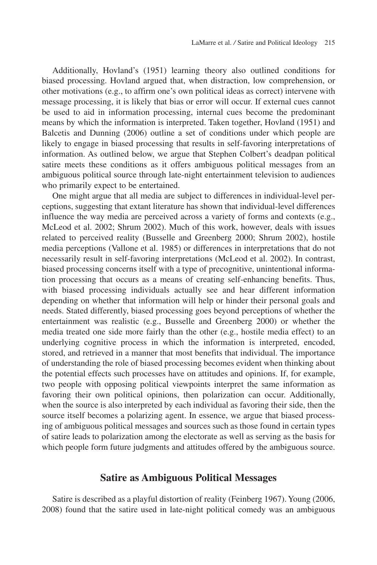Additionally, Hovland's (1951) learning theory also outlined conditions for biased processing. Hovland argued that, when distraction, low comprehension, or other motivations (e.g., to affirm one's own political ideas as correct) intervene with message processing, it is likely that bias or error will occur. If external cues cannot be used to aid in information processing, internal cues become the predominant means by which the information is interpreted. Taken together, Hovland (1951) and Balcetis and Dunning (2006) outline a set of conditions under which people are likely to engage in biased processing that results in self-favoring interpretations of information. As outlined below, we argue that Stephen Colbert's deadpan political satire meets these conditions as it offers ambiguous political messages from an ambiguous political source through late-night entertainment television to audiences who primarily expect to be entertained.

One might argue that all media are subject to differences in individual-level perceptions, suggesting that extant literature has shown that individual-level differences influence the way media are perceived across a variety of forms and contexts (e.g., McLeod et al. 2002; Shrum 2002). Much of this work, however, deals with issues related to perceived reality (Busselle and Greenberg 2000; Shrum 2002), hostile media perceptions (Vallone et al. 1985) or differences in interpretations that do not necessarily result in self-favoring interpretations (McLeod et al. 2002). In contrast, biased processing concerns itself with a type of precognitive, unintentional information processing that occurs as a means of creating self-enhancing benefits. Thus, with biased processing individuals actually see and hear different information depending on whether that information will help or hinder their personal goals and needs. Stated differently, biased processing goes beyond perceptions of whether the entertainment was realistic (e.g., Busselle and Greenberg 2000) or whether the media treated one side more fairly than the other (e.g., hostile media effect) to an underlying cognitive process in which the information is interpreted, encoded, stored, and retrieved in a manner that most benefits that individual. The importance of understanding the role of biased processing becomes evident when thinking about the potential effects such processes have on attitudes and opinions. If, for example, two people with opposing political viewpoints interpret the same information as favoring their own political opinions, then polarization can occur. Additionally, when the source is also interpreted by each individual as favoring their side, then the source itself becomes a polarizing agent. In essence, we argue that biased processing of ambiguous political messages and sources such as those found in certain types of satire leads to polarization among the electorate as well as serving as the basis for which people form future judgments and attitudes offered by the ambiguous source.

## **Satire as Ambiguous Political Messages**

Satire is described as a playful distortion of reality (Feinberg 1967). Young (2006, 2008) found that the satire used in late-night political comedy was an ambiguous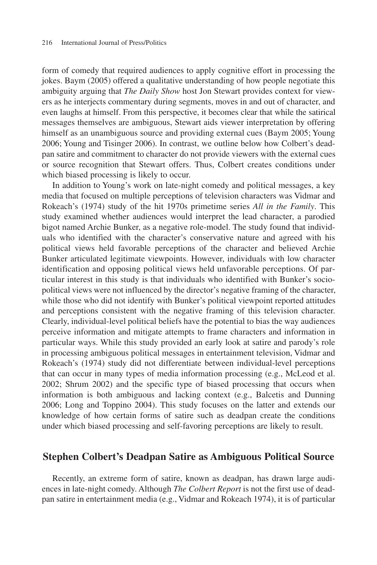form of comedy that required audiences to apply cognitive effort in processing the jokes. Baym (2005) offered a qualitative understanding of how people negotiate this ambiguity arguing that *The Daily Show* host Jon Stewart provides context for viewers as he interjects commentary during segments, moves in and out of character, and even laughs at himself. From this perspective, it becomes clear that while the satirical messages themselves are ambiguous, Stewart aids viewer interpretation by offering himself as an unambiguous source and providing external cues (Baym 2005; Young 2006; Young and Tisinger 2006). In contrast, we outline below how Colbert's deadpan satire and commitment to character do not provide viewers with the external cues or source recognition that Stewart offers. Thus, Colbert creates conditions under which biased processing is likely to occur.

In addition to Young's work on late-night comedy and political messages, a key media that focused on multiple perceptions of television characters was Vidmar and Rokeach's (1974) study of the hit 1970s primetime series *All in the Family*. This study examined whether audiences would interpret the lead character, a parodied bigot named Archie Bunker, as a negative role-model. The study found that individuals who identified with the character's conservative nature and agreed with his political views held favorable perceptions of the character and believed Archie Bunker articulated legitimate viewpoints. However, individuals with low character identification and opposing political views held unfavorable perceptions. Of particular interest in this study is that individuals who identified with Bunker's sociopolitical views were not influenced by the director's negative framing of the character, while those who did not identify with Bunker's political viewpoint reported attitudes and perceptions consistent with the negative framing of this television character. Clearly, individual-level political beliefs have the potential to bias the way audiences perceive information and mitigate attempts to frame characters and information in particular ways. While this study provided an early look at satire and parody's role in processing ambiguous political messages in entertainment television, Vidmar and Rokeach's (1974) study did not differentiate between individual-level perceptions that can occur in many types of media information processing (e.g., McLeod et al. 2002; Shrum 2002) and the specific type of biased processing that occurs when information is both ambiguous and lacking context (e.g., Balcetis and Dunning 2006; Long and Toppino 2004). This study focuses on the latter and extends our knowledge of how certain forms of satire such as deadpan create the conditions under which biased processing and self-favoring perceptions are likely to result.

# **Stephen Colbert's Deadpan Satire as Ambiguous Political Source**

Recently, an extreme form of satire, known as deadpan, has drawn large audiences in late-night comedy. Although *The Colbert Report* is not the first use of deadpan satire in entertainment media (e.g., Vidmar and Rokeach 1974), it is of particular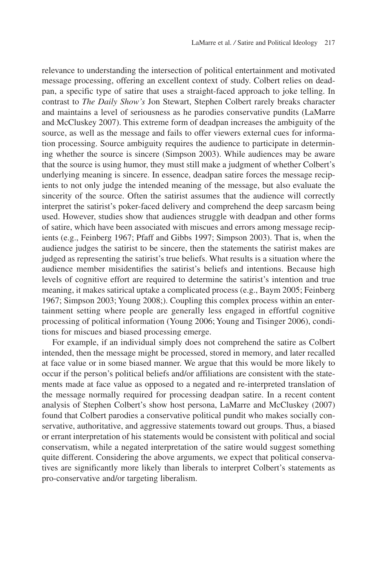relevance to understanding the intersection of political entertainment and motivated message processing, offering an excellent context of study. Colbert relies on deadpan, a specific type of satire that uses a straight-faced approach to joke telling. In contrast to *The Daily Show's* Jon Stewart, Stephen Colbert rarely breaks character and maintains a level of seriousness as he parodies conservative pundits (LaMarre and McCluskey 2007). This extreme form of deadpan increases the ambiguity of the source, as well as the message and fails to offer viewers external cues for information processing. Source ambiguity requires the audience to participate in determining whether the source is sincere (Simpson 2003). While audiences may be aware that the source is using humor, they must still make a judgment of whether Colbert's underlying meaning is sincere. In essence, deadpan satire forces the message recipients to not only judge the intended meaning of the message, but also evaluate the sincerity of the source. Often the satirist assumes that the audience will correctly interpret the satirist's poker-faced delivery and comprehend the deep sarcasm being used. However, studies show that audiences struggle with deadpan and other forms of satire, which have been associated with miscues and errors among message recipients (e.g., Feinberg 1967; Pfaff and Gibbs 1997; Simpson 2003). That is, when the audience judges the satirist to be sincere, then the statements the satirist makes are judged as representing the satirist's true beliefs. What results is a situation where the audience member misidentifies the satirist's beliefs and intentions. Because high levels of cognitive effort are required to determine the satirist's intention and true meaning, it makes satirical uptake a complicated process (e.g., Baym 2005; Feinberg 1967; Simpson 2003; Young 2008;). Coupling this complex process within an entertainment setting where people are generally less engaged in effortful cognitive processing of political information (Young 2006; Young and Tisinger 2006), conditions for miscues and biased processing emerge.

For example, if an individual simply does not comprehend the satire as Colbert intended, then the message might be processed, stored in memory, and later recalled at face value or in some biased manner. We argue that this would be more likely to occur if the person's political beliefs and/or affiliations are consistent with the statements made at face value as opposed to a negated and re-interpreted translation of the message normally required for processing deadpan satire. In a recent content analysis of Stephen Colbert's show host persona, LaMarre and McCluskey (2007) found that Colbert parodies a conservative political pundit who makes socially conservative, authoritative, and aggressive statements toward out groups. Thus, a biased or errant interpretation of his statements would be consistent with political and social conservatism, while a negated interpretation of the satire would suggest something quite different. Considering the above arguments, we expect that political conservatives are significantly more likely than liberals to interpret Colbert's statements as pro-conservative and/or targeting liberalism.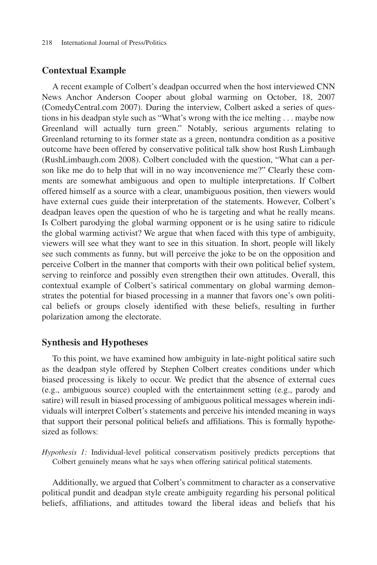### **Contextual Example**

A recent example of Colbert's deadpan occurred when the host interviewed CNN News Anchor Anderson Cooper about global warming on October, 18, 2007 (ComedyCentral.com 2007). During the interview, Colbert asked a series of questions in his deadpan style such as "What's wrong with the ice melting . . . maybe now Greenland will actually turn green." Notably, serious arguments relating to Greenland returning to its former state as a green, nontundra condition as a positive outcome have been offered by conservative political talk show host Rush Limbaugh (RushLimbaugh.com 2008). Colbert concluded with the question, "What can a person like me do to help that will in no way inconvenience me?" Clearly these comments are somewhat ambiguous and open to multiple interpretations. If Colbert offered himself as a source with a clear, unambiguous position, then viewers would have external cues guide their interpretation of the statements. However, Colbert's deadpan leaves open the question of who he is targeting and what he really means. Is Colbert parodying the global warming opponent or is he using satire to ridicule the global warming activist? We argue that when faced with this type of ambiguity, viewers will see what they want to see in this situation. In short, people will likely see such comments as funny, but will perceive the joke to be on the opposition and perceive Colbert in the manner that comports with their own political belief system, serving to reinforce and possibly even strengthen their own attitudes. Overall, this contextual example of Colbert's satirical commentary on global warming demonstrates the potential for biased processing in a manner that favors one's own political beliefs or groups closely identified with these beliefs, resulting in further polarization among the electorate.

## **Synthesis and Hypotheses**

To this point, we have examined how ambiguity in late-night political satire such as the deadpan style offered by Stephen Colbert creates conditions under which biased processing is likely to occur. We predict that the absence of external cues (e.g., ambiguous source) coupled with the entertainment setting (e.g., parody and satire) will result in biased processing of ambiguous political messages wherein individuals will interpret Colbert's statements and perceive his intended meaning in ways that support their personal political beliefs and affiliations. This is formally hypothesized as follows:

*Hypothesis 1:* Individual-level political conservatism positively predicts perceptions that Colbert genuinely means what he says when offering satirical political statements.

Additionally, we argued that Colbert's commitment to character as a conservative political pundit and deadpan style create ambiguity regarding his personal political beliefs, affiliations, and attitudes toward the liberal ideas and beliefs that his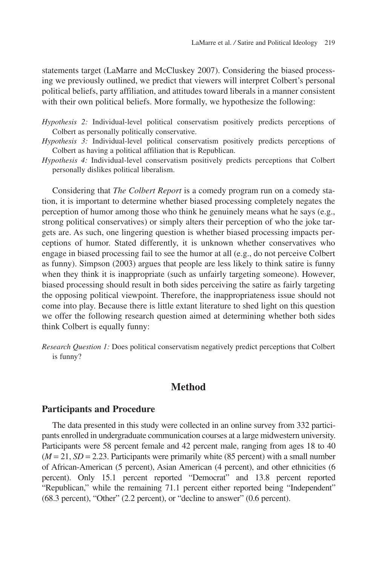statements target (LaMarre and McCluskey 2007). Considering the biased processing we previously outlined, we predict that viewers will interpret Colbert's personal political beliefs, party affiliation, and attitudes toward liberals in a manner consistent with their own political beliefs. More formally, we hypothesize the following:

*Hypothesis 2:* Individual-level political conservatism positively predicts perceptions of Colbert as personally politically conservative.

- *Hypothesis 3:* Individual-level political conservatism positively predicts perceptions of Colbert as having a political affiliation that is Republican.
- *Hypothesis 4:* Individual-level conservatism positively predicts perceptions that Colbert personally dislikes political liberalism.

Considering that *The Colbert Report* is a comedy program run on a comedy station, it is important to determine whether biased processing completely negates the perception of humor among those who think he genuinely means what he says (e.g., strong political conservatives) or simply alters their perception of who the joke targets are. As such, one lingering question is whether biased processing impacts perceptions of humor. Stated differently, it is unknown whether conservatives who engage in biased processing fail to see the humor at all (e.g., do not perceive Colbert as funny). Simpson (2003) argues that people are less likely to think satire is funny when they think it is inappropriate (such as unfairly targeting someone). However, biased processing should result in both sides perceiving the satire as fairly targeting the opposing political viewpoint. Therefore, the inappropriateness issue should not come into play. Because there is little extant literature to shed light on this question we offer the following research question aimed at determining whether both sides think Colbert is equally funny:

# **Method**

#### **Participants and Procedure**

The data presented in this study were collected in an online survey from 332 participants enrolled in undergraduate communication courses at a large midwestern university. Participants were 58 percent female and 42 percent male, ranging from ages 18 to 40  $(M = 21, SD = 2.23$ . Participants were primarily white (85 percent) with a small number of African-American (5 percent), Asian American (4 percent), and other ethnicities (6 percent). Only 15.1 percent reported "Democrat" and 13.8 percent reported "Republican," while the remaining 71.1 percent either reported being "Independent" (68.3 percent), "Other" (2.2 percent), or "decline to answer" (0.6 percent).

*Research Question 1:* Does political conservatism negatively predict perceptions that Colbert is funny?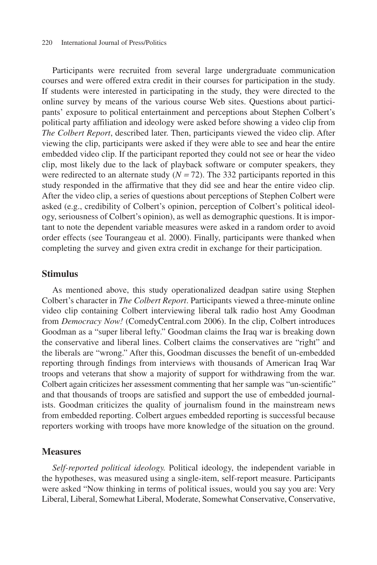Participants were recruited from several large undergraduate communication courses and were offered extra credit in their courses for participation in the study. If students were interested in participating in the study, they were directed to the online survey by means of the various course Web sites. Questions about participants' exposure to political entertainment and perceptions about Stephen Colbert's political party affiliation and ideology were asked before showing a video clip from *The Colbert Report*, described later. Then, participants viewed the video clip. After viewing the clip, participants were asked if they were able to see and hear the entire embedded video clip. If the participant reported they could not see or hear the video clip, most likely due to the lack of playback software or computer speakers, they were redirected to an alternate study  $(N = 72)$ . The 332 participants reported in this study responded in the affirmative that they did see and hear the entire video clip. After the video clip, a series of questions about perceptions of Stephen Colbert were asked (e.g., credibility of Colbert's opinion, perception of Colbert's political ideology, seriousness of Colbert's opinion), as well as demographic questions. It is important to note the dependent variable measures were asked in a random order to avoid order effects (see Tourangeau et al. 2000). Finally, participants were thanked when completing the survey and given extra credit in exchange for their participation.

#### **Stimulus**

As mentioned above, this study operationalized deadpan satire using Stephen Colbert's character in *The Colbert Report*. Participants viewed a three-minute online video clip containing Colbert interviewing liberal talk radio host Amy Goodman from *Democracy Now!* (ComedyCentral.com 2006). In the clip, Colbert introduces Goodman as a "super liberal lefty." Goodman claims the Iraq war is breaking down the conservative and liberal lines. Colbert claims the conservatives are "right" and the liberals are "wrong." After this, Goodman discusses the benefit of un-embedded reporting through findings from interviews with thousands of American Iraq War troops and veterans that show a majority of support for withdrawing from the war. Colbert again criticizes her assessment commenting that her sample was "un-scientific" and that thousands of troops are satisfied and support the use of embedded journalists. Goodman criticizes the quality of journalism found in the mainstream news from embedded reporting. Colbert argues embedded reporting is successful because reporters working with troops have more knowledge of the situation on the ground.

### **Measures**

*Self-reported political ideology.* Political ideology, the independent variable in the hypotheses, was measured using a single-item, self-report measure. Participants were asked "Now thinking in terms of political issues, would you say you are: Very Liberal, Liberal, Somewhat Liberal, Moderate, Somewhat Conservative, Conservative,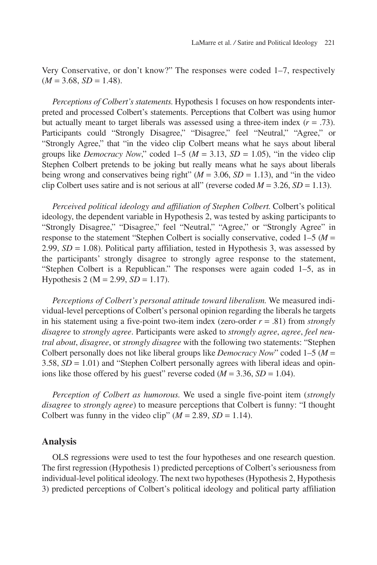Very Conservative, or don't know?" The responses were coded 1–7, respectively  $(M = 3.68, SD = 1.48).$ 

*Perceptions of Colbert's statements.* Hypothesis 1 focuses on how respondents interpreted and processed Colbert's statements. Perceptions that Colbert was using humor but actually meant to target liberals was assessed using a three-item index  $(r = .73)$ . Participants could "Strongly Disagree," "Disagree," feel "Neutral," "Agree," or "Strongly Agree," that "in the video clip Colbert means what he says about liberal groups like *Democracy Now*," coded  $1-5$  ( $M = 3.13$ ,  $SD = 1.05$ ), "in the video clip Stephen Colbert pretends to be joking but really means what he says about liberals being wrong and conservatives being right"  $(M = 3.06, SD = 1.13)$ , and "in the video clip Colbert uses satire and is not serious at all" (reverse coded  $M = 3.26$ ,  $SD = 1.13$ ).

*Perceived political ideology and affiliation of Stephen Colbert.* Colbert's political ideology, the dependent variable in Hypothesis 2, was tested by asking participants to "Strongly Disagree," "Disagree," feel "Neutral," "Agree," or "Strongly Agree" in response to the statement "Stephen Colbert is socially conservative, coded 1–5 (*M* = 2.99,  $SD = 1.08$ ). Political party affiliation, tested in Hypothesis 3, was assessed by the participants' strongly disagree to strongly agree response to the statement, "Stephen Colbert is a Republican." The responses were again coded 1–5, as in Hypothesis 2 (M = 2.99, *SD* = 1.17).

*Perceptions of Colbert's personal attitude toward liberalism.* We measured individual-level perceptions of Colbert's personal opinion regarding the liberals he targets in his statement using a five-point two-item index (zero-order *r* = .81) from *strongly disagree* to *strongly agree*. Participants were asked to *strongly agree*, *agree*, *feel neutral about*, *disagree*, or *strongly disagree* with the following two statements: "Stephen Colbert personally does not like liberal groups like *Democracy Now*" coded 1–5 (*M* = 3.58, *SD* = 1.01) and "Stephen Colbert personally agrees with liberal ideas and opinions like those offered by his guest" reverse coded  $(M = 3.36, SD = 1.04)$ .

*Perception of Colbert as humorous.* We used a single five-point item (*strongly disagree* to *strongly agree*) to measure perceptions that Colbert is funny: "I thought Colbert was funny in the video clip"  $(M = 2.89, SD = 1.14)$ .

## **Analysis**

OLS regressions were used to test the four hypotheses and one research question. The first regression (Hypothesis 1) predicted perceptions of Colbert's seriousness from individual-level political ideology. The next two hypotheses (Hypothesis 2, Hypothesis 3) predicted perceptions of Colbert's political ideology and political party affiliation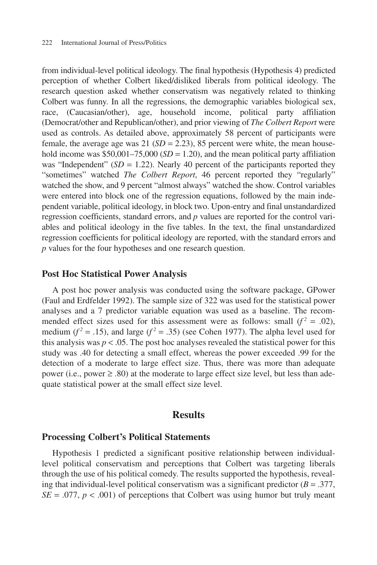from individual-level political ideology. The final hypothesis (Hypothesis 4) predicted perception of whether Colbert liked/disliked liberals from political ideology. The research question asked whether conservatism was negatively related to thinking Colbert was funny. In all the regressions, the demographic variables biological sex, race, (Caucasian/other), age, household income, political party affiliation (Democrat/other and Republican/other), and prior viewing of *The Colbert Report* were used as controls. As detailed above, approximately 58 percent of participants were female, the average age was 21  $(SD = 2.23)$ , 85 percent were white, the mean household income was  $$50,001-75,000$  (*SD* = 1.20), and the mean political party affiliation was "Independent"  $(SD = 1.22)$ . Nearly 40 percent of the participants reported they "sometimes" watched *The Colbert Report*, 46 percent reported they "regularly" watched the show, and 9 percent "almost always" watched the show. Control variables were entered into block one of the regression equations, followed by the main independent variable, political ideology, in block two. Upon-entry and final unstandardized regression coefficients, standard errors, and *p* values are reported for the control variables and political ideology in the five tables. In the text, the final unstandardized regression coefficients for political ideology are reported, with the standard errors and *p* values for the four hypotheses and one research question.

### **Post Hoc Statistical Power Analysis**

A post hoc power analysis was conducted using the software package, GPower (Faul and Erdfelder 1992). The sample size of 322 was used for the statistical power analyses and a 7 predictor variable equation was used as a baseline. The recommended effect sizes used for this assessment were as follows: small  $(f^2 = .02)$ , medium ( $f^2 = .15$ ), and large ( $f^2 = .35$ ) (see Cohen 1977). The alpha level used for this analysis was  $p < 0.05$ . The post hoc analyses revealed the statistical power for this study was .40 for detecting a small effect, whereas the power exceeded .99 for the detection of a moderate to large effect size. Thus, there was more than adequate power (i.e., power  $\geq$  .80) at the moderate to large effect size level, but less than adequate statistical power at the small effect size level.

## **Results**

#### **Processing Colbert's Political Statements**

Hypothesis 1 predicted a significant positive relationship between individuallevel political conservatism and perceptions that Colbert was targeting liberals through the use of his political comedy. The results supported the hypothesis, revealing that individual-level political conservatism was a significant predictor  $(B = .377)$ ,  $SE = .077$ ,  $p < .001$ ) of perceptions that Colbert was using humor but truly meant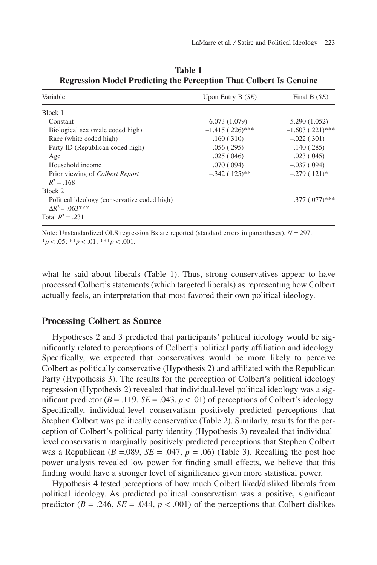| Variable                                                              | Upon Entry $B(SE)$ | Final B $(SE)$     |
|-----------------------------------------------------------------------|--------------------|--------------------|
| Block 1                                                               |                    |                    |
| Constant                                                              | 6.073(1.079)       | 5.290 (1.052)      |
| Biological sex (male coded high)                                      | $-1.415(.226)$ *** | $-1.603$ (.221)*** |
| Race (white coded high)                                               | .160(.310)         | $-.022(.301)$      |
| Party ID (Republican coded high)                                      | .056(.295)         | .140(.285)         |
| Age                                                                   | .025(.046)         | .023(.045)         |
| Household income                                                      | .070(.094)         | $-.037(.094)$      |
| Prior viewing of <i>Colbert Report</i>                                | $-.342(.125)$ **   | $-.279(.121)$ *    |
| $R^2 = 168$                                                           |                    |                    |
| Block 2                                                               |                    |                    |
| Political ideology (conservative coded high)<br>$\Delta R^2$ = 063*** |                    | $.377(.077)$ ***   |
| Total $R^2 = .231$                                                    |                    |                    |

**Table 1 Regression Model Predicting the Perception That Colbert Is Genuine**

Note: Unstandardized OLS regression Bs are reported (standard errors in parentheses). *N* = 297. \**p* < .05; \*\**p* < .01; \*\*\**p* < .001.

what he said about liberals (Table 1). Thus, strong conservatives appear to have processed Colbert's statements (which targeted liberals) as representing how Colbert actually feels, an interpretation that most favored their own political ideology.

### **Processing Colbert as Source**

Hypotheses 2 and 3 predicted that participants' political ideology would be significantly related to perceptions of Colbert's political party affiliation and ideology. Specifically, we expected that conservatives would be more likely to perceive Colbert as politically conservative (Hypothesis 2) and affiliated with the Republican Party (Hypothesis 3). The results for the perception of Colbert's political ideology regression (Hypothesis 2) revealed that individual-level political ideology was a significant predictor  $(B = .119, SE = .043, p < .01)$  of perceptions of Colbert's ideology. Specifically, individual-level conservatism positively predicted perceptions that Stephen Colbert was politically conservative (Table 2). Similarly, results for the perception of Colbert's political party identity (Hypothesis 3) revealed that individuallevel conservatism marginally positively predicted perceptions that Stephen Colbert was a Republican ( $B = .089$ ,  $SE = .047$ ,  $p = .06$ ) (Table 3). Recalling the post hoc power analysis revealed low power for finding small effects, we believe that this finding would have a stronger level of significance given more statistical power.

Hypothesis 4 tested perceptions of how much Colbert liked/disliked liberals from political ideology. As predicted political conservatism was a positive, significant predictor ( $B = .246$ ,  $SE = .044$ ,  $p < .001$ ) of the perceptions that Colbert dislikes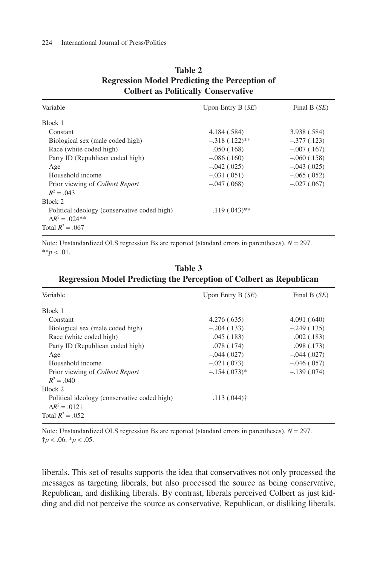| Variable                                                               | Upon Entry $B(SE)$ | Final B $(SE)$ |
|------------------------------------------------------------------------|--------------------|----------------|
| Block 1                                                                |                    |                |
| Constant                                                               | 4.184 (.584)       | 3.938 (.584)   |
| Biological sex (male coded high)                                       | $-.318(.122)$ **   | $-.377(.123)$  |
| Race (white coded high)                                                | .050(.168)         | $-.007(.167)$  |
| Party ID (Republican coded high)                                       | $-.086(.160)$      | $-.060(.158)$  |
| Age                                                                    | $-.042(.025)$      | $-.043(.025)$  |
| Household income                                                       | $-.031(.051)$      | $-.065(.052)$  |
| Prior viewing of <i>Colbert Report</i>                                 | $-.047(.068)$      | $-.027(.067)$  |
| $R^2 = 0.043$                                                          |                    |                |
| Block 2                                                                |                    |                |
| Political ideology (conservative coded high)<br>$\Delta R^2 = 0.024**$ | $.119(.043)$ **    |                |
| Total $R^2 = 0.067$                                                    |                    |                |

## **Table 2 Regression Model Predicting the Perception of Colbert as Politically Conservative**

Note: Unstandardized OLS regression Bs are reported (standard errors in parentheses). *N* = 297.  $*^*p < .01$ .

| Variable                                     | Upon Entry B $(SE)$ | Final B $(SE)$ |
|----------------------------------------------|---------------------|----------------|
| Block 1                                      |                     |                |
| Constant                                     | 4.276(.635)         | 4.091(.640)    |
| Biological sex (male coded high)             | $-.204(.133)$       | $-.249(.135)$  |
| Race (white coded high)                      | .045(.183)          | .002(.183)     |
| Party ID (Republican coded high)             | .078(.174)          | .098(.173)     |
| Age                                          | $-.044(.027)$       | $-.044(.027)$  |
| Household income                             | $-.021(.073)$       | $-.046(.057)$  |
| Prior viewing of Colbert Report              | $-.154(.073)*$      | $-.139(.074)$  |
| $R^2 = .040$                                 |                     |                |
| Block 2                                      |                     |                |
| Political ideology (conservative coded high) | $.113(.044)$ †      |                |
| $\Delta R^2 = .012$ †                        |                     |                |
| Total $R^2 = .052$                           |                     |                |

| Table 3                                                                    |
|----------------------------------------------------------------------------|
| <b>Regression Model Predicting the Perception of Colbert as Republican</b> |

Note: Unstandardized OLS regression Bs are reported (standard errors in parentheses). *N* = 297.  $\dagger p < .06.$   $\#p < .05.$ 

liberals. This set of results supports the idea that conservatives not only processed the messages as targeting liberals, but also processed the source as being conservative, Republican, and disliking liberals. By contrast, liberals perceived Colbert as just kidding and did not perceive the source as conservative, Republican, or disliking liberals.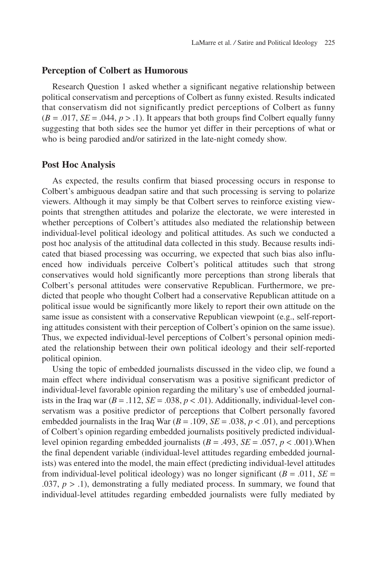#### **Perception of Colbert as Humorous**

Research Question 1 asked whether a significant negative relationship between political conservatism and perceptions of Colbert as funny existed. Results indicated that conservatism did not significantly predict perceptions of Colbert as funny  $(B = .017, SE = .044, p > .1)$ . It appears that both groups find Colbert equally funny suggesting that both sides see the humor yet differ in their perceptions of what or who is being parodied and/or satirized in the late-night comedy show.

#### **Post Hoc Analysis**

As expected, the results confirm that biased processing occurs in response to Colbert's ambiguous deadpan satire and that such processing is serving to polarize viewers. Although it may simply be that Colbert serves to reinforce existing viewpoints that strengthen attitudes and polarize the electorate, we were interested in whether perceptions of Colbert's attitudes also mediated the relationship between individual-level political ideology and political attitudes. As such we conducted a post hoc analysis of the attitudinal data collected in this study. Because results indicated that biased processing was occurring, we expected that such bias also influenced how individuals perceive Colbert's political attitudes such that strong conservatives would hold significantly more perceptions than strong liberals that Colbert's personal attitudes were conservative Republican. Furthermore, we predicted that people who thought Colbert had a conservative Republican attitude on a political issue would be significantly more likely to report their own attitude on the same issue as consistent with a conservative Republican viewpoint (e.g., self-reporting attitudes consistent with their perception of Colbert's opinion on the same issue). Thus, we expected individual-level perceptions of Colbert's personal opinion mediated the relationship between their own political ideology and their self-reported political opinion.

Using the topic of embedded journalists discussed in the video clip, we found a main effect where individual conservatism was a positive significant predictor of individual-level favorable opinion regarding the military's use of embedded journalists in the Iraq war  $(B = .112, SE = .038, p < .01)$ . Additionally, individual-level conservatism was a positive predictor of perceptions that Colbert personally favored embedded journalists in the Iraq War ( $B = .109$ ,  $SE = .038$ ,  $p < .01$ ), and perceptions of Colbert's opinion regarding embedded journalists positively predicted individuallevel opinion regarding embedded journalists (*B* = .493, *SE* = .057, *p* < .001).When the final dependent variable (individual-level attitudes regarding embedded journalists) was entered into the model, the main effect (predicting individual-level attitudes from individual-level political ideology) was no longer significant ( $B = .011$ ,  $SE =$ .037,  $p > 0.1$ ), demonstrating a fully mediated process. In summary, we found that individual-level attitudes regarding embedded journalists were fully mediated by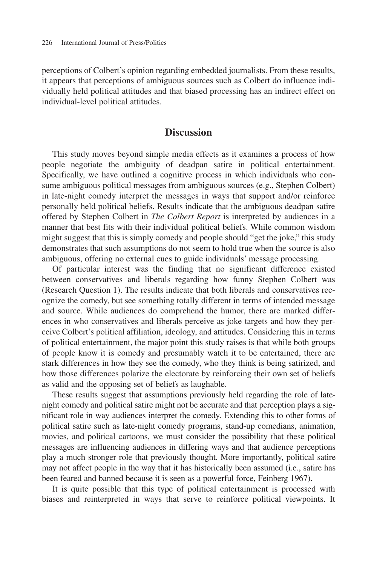perceptions of Colbert's opinion regarding embedded journalists. From these results, it appears that perceptions of ambiguous sources such as Colbert do influence individually held political attitudes and that biased processing has an indirect effect on individual-level political attitudes.

## **Discussion**

This study moves beyond simple media effects as it examines a process of how people negotiate the ambiguity of deadpan satire in political entertainment. Specifically, we have outlined a cognitive process in which individuals who consume ambiguous political messages from ambiguous sources (e.g., Stephen Colbert) in late-night comedy interpret the messages in ways that support and/or reinforce personally held political beliefs. Results indicate that the ambiguous deadpan satire offered by Stephen Colbert in *The Colbert Report* is interpreted by audiences in a manner that best fits with their individual political beliefs. While common wisdom might suggest that this is simply comedy and people should "get the joke," this study demonstrates that such assumptions do not seem to hold true when the source is also ambiguous, offering no external cues to guide individuals' message processing.

Of particular interest was the finding that no significant difference existed between conservatives and liberals regarding how funny Stephen Colbert was (Research Question 1). The results indicate that both liberals and conservatives recognize the comedy, but see something totally different in terms of intended message and source. While audiences do comprehend the humor, there are marked differences in who conservatives and liberals perceive as joke targets and how they perceive Colbert's political affiliation, ideology, and attitudes. Considering this in terms of political entertainment, the major point this study raises is that while both groups of people know it is comedy and presumably watch it to be entertained, there are stark differences in how they see the comedy, who they think is being satirized, and how those differences polarize the electorate by reinforcing their own set of beliefs as valid and the opposing set of beliefs as laughable.

These results suggest that assumptions previously held regarding the role of latenight comedy and political satire might not be accurate and that perception plays a significant role in way audiences interpret the comedy. Extending this to other forms of political satire such as late-night comedy programs, stand-up comedians, animation, movies, and political cartoons, we must consider the possibility that these political messages are influencing audiences in differing ways and that audience perceptions play a much stronger role that previously thought. More importantly, political satire may not affect people in the way that it has historically been assumed (i.e., satire has been feared and banned because it is seen as a powerful force, Feinberg 1967).

It is quite possible that this type of political entertainment is processed with biases and reinterpreted in ways that serve to reinforce political viewpoints. It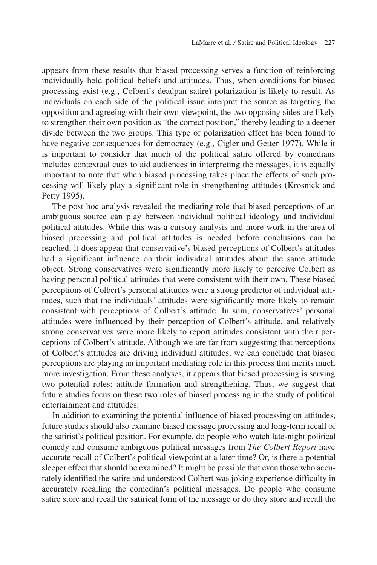appears from these results that biased processing serves a function of reinforcing individually held political beliefs and attitudes. Thus, when conditions for biased processing exist (e.g., Colbert's deadpan satire) polarization is likely to result. As individuals on each side of the political issue interpret the source as targeting the opposition and agreeing with their own viewpoint, the two opposing sides are likely to strengthen their own position as "the correct position," thereby leading to a deeper divide between the two groups. This type of polarization effect has been found to have negative consequences for democracy (e.g., Cigler and Getter 1977). While it is important to consider that much of the political satire offered by comedians includes contextual cues to aid audiences in interpreting the messages, it is equally important to note that when biased processing takes place the effects of such processing will likely play a significant role in strengthening attitudes (Krosnick and Petty 1995).

The post hoc analysis revealed the mediating role that biased perceptions of an ambiguous source can play between individual political ideology and individual political attitudes. While this was a cursory analysis and more work in the area of biased processing and political attitudes is needed before conclusions can be reached, it does appear that conservative's biased perceptions of Colbert's attitudes had a significant influence on their individual attitudes about the same attitude object. Strong conservatives were significantly more likely to perceive Colbert as having personal political attitudes that were consistent with their own. These biased perceptions of Colbert's personal attitudes were a strong predictor of individual attitudes, such that the individuals' attitudes were significantly more likely to remain consistent with perceptions of Colbert's attitude. In sum, conservatives' personal attitudes were influenced by their perception of Colbert's attitude, and relatively strong conservatives were more likely to report attitudes consistent with their perceptions of Colbert's attitude. Although we are far from suggesting that perceptions of Colbert's attitudes are driving individual attitudes, we can conclude that biased perceptions are playing an important mediating role in this process that merits much more investigation. From these analyses, it appears that biased processing is serving two potential roles: attitude formation and strengthening. Thus, we suggest that future studies focus on these two roles of biased processing in the study of political entertainment and attitudes.

In addition to examining the potential influence of biased processing on attitudes, future studies should also examine biased message processing and long-term recall of the satirist's political position. For example, do people who watch late-night political comedy and consume ambiguous political messages from *The Colbert Report* have accurate recall of Colbert's political viewpoint at a later time? Or, is there a potential sleeper effect that should be examined? It might be possible that even those who accurately identified the satire and understood Colbert was joking experience difficulty in accurately recalling the comedian's political messages. Do people who consume satire store and recall the satirical form of the message or do they store and recall the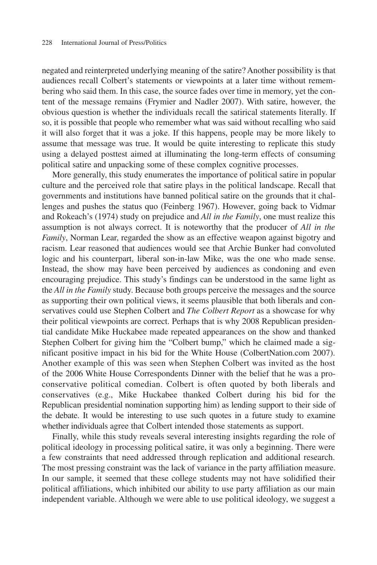negated and reinterpreted underlying meaning of the satire? Another possibility is that audiences recall Colbert's statements or viewpoints at a later time without remembering who said them. In this case, the source fades over time in memory, yet the content of the message remains (Frymier and Nadler 2007). With satire, however, the obvious question is whether the individuals recall the satirical statements literally. If so, it is possible that people who remember what was said without recalling who said it will also forget that it was a joke. If this happens, people may be more likely to assume that message was true. It would be quite interesting to replicate this study using a delayed posttest aimed at illuminating the long-term effects of consuming political satire and unpacking some of these complex cognitive processes.

More generally, this study enumerates the importance of political satire in popular culture and the perceived role that satire plays in the political landscape. Recall that governments and institutions have banned political satire on the grounds that it challenges and pushes the status quo (Feinberg 1967). However, going back to Vidmar and Rokeach's (1974) study on prejudice and *All in the Family*, one must realize this assumption is not always correct. It is noteworthy that the producer of *All in the Family*, Norman Lear, regarded the show as an effective weapon against bigotry and racism. Lear reasoned that audiences would see that Archie Bunker had convoluted logic and his counterpart, liberal son-in-law Mike, was the one who made sense. Instead, the show may have been perceived by audiences as condoning and even encouraging prejudice. This study's findings can be understood in the same light as the *All in the Family* study. Because both groups perceive the messages and the source as supporting their own political views, it seems plausible that both liberals and conservatives could use Stephen Colbert and *The Colbert Report* as a showcase for why their political viewpoints are correct. Perhaps that is why 2008 Republican presidential candidate Mike Huckabee made repeated appearances on the show and thanked Stephen Colbert for giving him the "Colbert bump," which he claimed made a significant positive impact in his bid for the White House (ColbertNation.com 2007). Another example of this was seen when Stephen Colbert was invited as the host of the 2006 White House Correspondents Dinner with the belief that he was a proconservative political comedian. Colbert is often quoted by both liberals and conservatives (e.g., Mike Huckabee thanked Colbert during his bid for the Republican presidential nomination supporting him) as lending support to their side of the debate. It would be interesting to use such quotes in a future study to examine whether individuals agree that Colbert intended those statements as support.

Finally, while this study reveals several interesting insights regarding the role of political ideology in processing political satire, it was only a beginning. There were a few constraints that need addressed through replication and additional research. The most pressing constraint was the lack of variance in the party affiliation measure. In our sample, it seemed that these college students may not have solidified their political affiliations, which inhibited our ability to use party affiliation as our main independent variable. Although we were able to use political ideology, we suggest a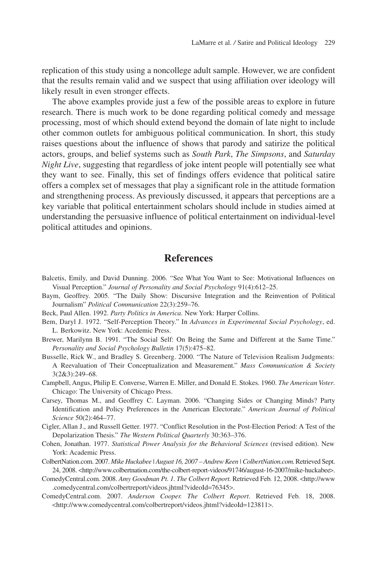replication of this study using a noncollege adult sample. However, we are confident that the results remain valid and we suspect that using affiliation over ideology will likely result in even stronger effects.

The above examples provide just a few of the possible areas to explore in future research. There is much work to be done regarding political comedy and message processing, most of which should extend beyond the domain of late night to include other common outlets for ambiguous political communication. In short, this study raises questions about the influence of shows that parody and satirize the political actors, groups, and belief systems such as *South Park*, *The Simpsons*, and *Saturday Night Live*, suggesting that regardless of joke intent people will potentially see what they want to see. Finally, this set of findings offers evidence that political satire offers a complex set of messages that play a significant role in the attitude formation and strengthening process. As previously discussed, it appears that perceptions are a key variable that political entertainment scholars should include in studies aimed at understanding the persuasive influence of political entertainment on individual-level political attitudes and opinions.

# **References**

- Balcetis, Emily, and David Dunning. 2006. "See What You Want to See: Motivational Influences on Visual Perception." *Journal of Personality and Social Psychology* 91(4):612–25.
- Baym, Geoffrey. 2005. "The Daily Show: Discursive Integration and the Reinvention of Political Journalism" *Political Communication* 22(3):259–76.
- Beck, Paul Allen. 1992. *Party Politics in America*. New York: Harper Collins.
- Bem, Daryl J. 1972. "Self-Perception Theory." In *Advances in Experimental Social Psychology*, ed. L. Berkowitz. New York: Acedemic Press.
- Brewer, Marilynn B. 1991. "The Social Self: On Being the Same and Different at the Same Time." *Personality and Social Psychology Bulletin* 17(5):475–82.
- Busselle, Rick W., and Bradley S. Greenberg. 2000. "The Nature of Television Realism Judgments: A Reevaluation of Their Conceptualization and Measurement." *Mass Communication & Society* 3(2&3):249–68.
- Campbell, Angus, Philip E. Converse, Warren E. Miller, and Donald E. Stokes. 1960. *The American Voter*. Chicago: The University of Chicago Press.
- Carsey, Thomas M., and Geoffrey C. Layman. 2006. "Changing Sides or Changing Minds? Party Identification and Policy Preferences in the American Electorate." *American Journal of Political Science* 50(2):464–77.
- Cigler, Allan J., and Russell Getter. 1977. "Conflict Resolution in the Post-Election Period: A Test of the Depolarization Thesis." *The Western Political Quarterly* 30:363–376.
- Cohen, Jonathan. 1977. *Statistical Power Analysis for the Behavioral Sciences* (revised edition). New York: Academic Press.
- ColbertNation.com. 2007. *Mike Huckabee | August 16, 2007 Andrew Keen | ColbertNation.com*. Retrieved Sept. 24, 2008. <http://www.colbertnation.com/the-colbert-report-videos/91746/august-16-2007/mike-huckabee>.
- ComedyCentral.com. 2008. *Amy Goodman Pt. 1. The Colbert Report.* Retrieved Feb. 12, 2008. <http://www .comedycentral.com/colbertreport/videos.jhtml?videoId=76345>.
- ComedyCentral.com. 2007. *Anderson Cooper. The Colbert Report*. Retrieved Feb. 18, 2008. <http://www.comedycentral.com/colbertreport/videos.jhtml?videoId=123811>.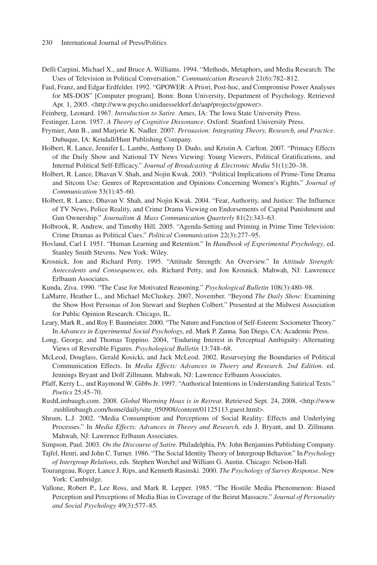- Delli Carpini, Michael X., and Bruce A. Williams. 1994. "Methods, Metaphors, and Media Research: The Uses of Television in Political Conversation." *Communication Research* 21(6):782–812.
- Faul, Franz, and Edgar Erdfelder. 1992. "GPOWER: A Priori, Post-hoc, and Compromise Power Analyses for MS-DOS" [Computer program]. Bonn: Bonn University, Department of Psychology. Retrieved Apr. 1, 2005. <http://www.psycho.uniduesseldorf.de/aap/projects/gpower>.
- Feinberg, Leonard. 1967. *Introduction to Satire*. Ames, IA: The Iowa State University Press.

Festinger, Leon. 1957. *A Theory of Cognitive Dissonance*. Oxford: Stanford University Press.

- Frymier, Ann B., and Marjorie K. Nadler. 2007. *Persuasion: Integrating Theory, Research, and Practice*. Dubuque, IA: Kendall/Hunt Publishing Company.
- Holbert, R. Lance, Jennifer L. Lambe, Anthony D. Dudo, and Kristin A. Carlton. 2007. "Primacy Effects of the Daily Show and National TV News Viewing: Young Viewers, Political Gratifications, and Internal Political Self-Efficacy." *Journal of Broadcasting & Electronic Media* 51(1):20–38.
- Holbert, R. Lance, Dhavan V. Shah, and Nojin Kwak. 2003. "Political Implications of Prime-Time Drama and Sitcom Use: Genres of Representation and Opinions Concerning Women's Rights." *Journal of Communication* 53(1):45–60.
- Holbert, R. Lance, Dhavan V. Shah, and Nojin Kwak. 2004. "Fear, Authority, and Justice: The Influence of TV News, Police Reality, and Crime Drama Viewing on Endorsements of Capital Punishment and Gun Ownership." *Journalism & Mass Communication Quarterly* 81(2):343–63.
- Holbrook, R. Andrew, and Timothy Hill. 2005. "Agenda-Setting and Priming in Prime Time Television: Crime Dramas as Political Cues." *Political Communication* 22(3):277–95.
- Hovland, Carl I. 1951. "Human Learning and Retention." In *Handbook of Experimental Psychology*, ed. Stanley Smith Stevens. New York: Wiley.
- Krosnick, Jon and Richard Petty. 1995. "Attitude Strength: An Overview." In *Attitude Strength: Antecedents and Consequences*, eds. Richard Petty, and Jon Krosnick. Mahwah, NJ: Lawrenece Erlbaum Associates.
- Kunda, Ziva. 1990. "The Case for Motivated Reasoning." *Psychological Bulletin* 108(3):480–98.
- LaMarre, Heather L., and Michael McCluskey. 2007, November. "Beyond *The Daily Show*: Examining the Show Host Personas of Jon Stewart and Stephen Colbert." Presented at the Midwest Association for Public Opinion Research. Chicago, IL.
- Leary, Mark R., and Roy F. Baumeister. 2000. "The Nature and Function of Self-Esteem: Sociometer Theory." In *Advances in Experimental Social Psychology*, ed. Mark P. Zanna. San Diego, CA: Academic Press.
- Long, George, and Thomas Toppino. 2004, "Enduring Interest in Perceptual Ambiguity: Alternating Views of Reversible Figures. *Psychological Bulletin* 13:748–68.
- McLeod, Douglass, Gerald Kosicki, and Jack McLeod. 2002. Resurveying the Boundaries of Political Communication Effects. In *Media Effects: Advances in Thoery and Research. 2nd Edition.* ed. Jennings Bryant and Dolf Zillmann. Mahwah, NJ: Lawrence Erlbaum Associates.
- Pfaff, Kerry L., and Raymond W. Gibbs Jr. 1997. "Authorical Intentions in Understanding Satirical Texts." *Poetics* 25:45–70.
- RushLimbaugh.com. 2008. *Global Warming Hoax is in Retreat*. Retrieved Sept. 24, 2008. <http://www .rushlimbaugh.com/home/daily/site\_050908/content/01125113.guest.html>.
- Shrum, L.J. 2002. "Media Consumption and Perceptions of Social Reality: Effects and Underlying Processes." In *Media Effects: Advances in Theory and Research,* eds J. Bryant, and D. Zillmann. Mahwah, NJ: Lawrence Erlbaum Associates.
- Simpson, Paul. 2003. *On the Discourse of Satire.* Philadelphia, PA: John Benjamins Publishing Company.
- Tajfel, Henri, and John C. Turner. 1986. "The Social Identity Theory of Intergroup Behavior." In*Psychology of Intergroup Relations*, eds. Stephen Worchel and William G. Austin. Chicago: Nelson-Hall.
- Tourangeau, Roger, Lance J. Rips, and Kenneth Rasinski. 2000. *The Psychology of Survey Response*. New York: Cambridge.
- Vallone, Robert P., Lee Ross, and Mark R. Lepper. 1985. "The Hostile Media Phenomenon: Biased Perception and Perceptions of Media Bias in Coverage of the Beirut Massacre." *Journal of Personality and Social Psychology* 49(3):577–85.